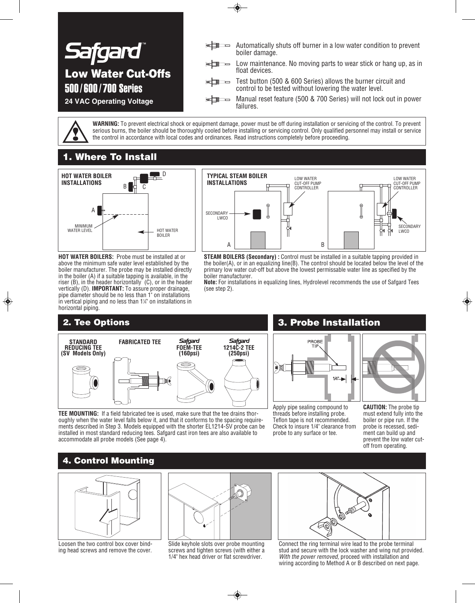

**WARNING:** To prevent electrical shock or equipment damage, power must be off during installation or servicing of the control. To prevent serious burns, the boiler should be thoroughly cooled before installing or servicing control. Only qualified personnel may install or service the control in accordance with local codes and ordinances. Read instructions completely before proceeding.

## **1. Where To Install**



**HOT WATER BOILERS:** Probe must be installed at or above the minimum safe water level established by the boiler manufacturer. The probe may be installed directly in the boiler (A) if a suitable tapping is available, in the riser (B), in the header horizontally (C), or in the header vertically (D). **IMPORTANT:** To assure proper drainage, pipe diameter should be no less than 1" on installations  $\overline{\mathsf{in}}$  vertical piping and no less than 1¼ on installations in horizontal piping.

## **2. Tee Options**



**STEAM BOILERS (Secondary) :** Control must be installed in a suitable tapping provided in the boiler(A), or in an equalizing line(B). The control should be located below the level of the primary low water cut-off but above the lowest permissable water line as specified by the boiler manufacturer.

**Note:** For installations in equalizing lines, Hydrolevel recommends the use of Safgard Tees (see step 2).



**TEE MOUNTING:** If a field fabricated tee is used, make sure that the tee drains thoroughly when the water level falls below it, and that it conforms to the spacing requirements described in Step 3. Models equipped with the shorter EL1214-SV probe can be installed in most standard reducing tees. Safgard cast iron tees are also available to accommodate all probe models (See page 4).

## **3. Probe Installation**



Apply pipe sealing compound to threads before installing probe. Teflon tape is not recommended. Check to insure 1/4" clearance from probe to any surface or tee.

**CAUTION:** The probe tip must extend fully into the boiler or pipe run. If the probe is recessed, sediment can build up and prevent the low water cutoff from operating.

## **4. Control Mounting**



Loosen the two control box cover binding head screws and remove the cover.



Slide keyhole slots over probe mounting screws and tighten screws (with either a 1/4" hex head driver or flat screwdriver.



Connect the ring terminal wire lead to the probe terminal stud and secure with the lock washer and wing nut provided. *With the power removed,* proceed with installation and wiring according to Method A or B described on next page.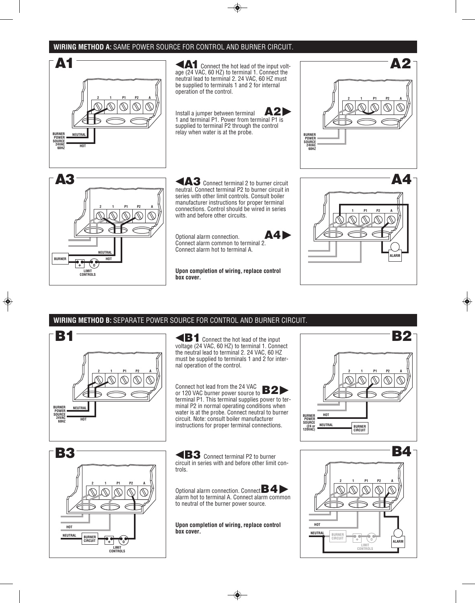### **WIRING METHOD A:** SAME POWER SOURCE FOR CONTROL AND BURNER CIRCUIT.



age (24 VAC, 60 HZ) to terminal 1. Connect the neutral lead to terminal 2. 24 VAC, 60 HZ must be supplied to terminals 1 and 2 for internal operation of the control.

Install a jumper between terminal **A2** 1 and terminal P1. Power from terminal P1 is supplied to terminal P2 through the control relay when water is at the probe.



**1 P1 P2 A**

**ALAR** 



neutral. Connect terminal P2 to burner circuit in series with other limit controls. Consult boiler manufacturer instructions for proper terminal connections. Control should be wired in series with and before other circuits.

Optional alarm connection. Connect alarm common to terminal 2. Connect alarm hot to terminal A.



**Upon completion of wiring, replace control box cover.**

### **WIRING METHOD B:** SEPARATE POWER SOURCE FOR CONTROL AND BURNER CIRCUIT.

**2 P1 P2 A BURNER POWER SOURCE 24VAC 60HZ 1 NEUTRAL HOT B1**

**B1**Connect the hot lead of the input voltage (24 VAC, 60 HZ) to terminal 1. Connect the neutral lead to terminal 2. 24 VAC, 60 HZ must be supplied to terminals 1 and 2 for internal operation of the control.

Connect hot lead from the 24 VAC Connect hot lead from the 24 VAC<br>or 120 VAC burner power source to **B2** terminal P1. This terminal supplies power to terminal P2 in normal operating conditions when water is at the probe. Connect neutral to burner circuit. Note: consult boiler manufacturer instructions for proper terminal connections.



**B3** Connect terminal P2 to burner circuit in series with and before other limit controls.

Optional alarm connection. Connect**B4** alarm hot to terminal A. Connect alarm common to neutral of the burner power source.

**Upon completion of wiring, replace control box cover.**



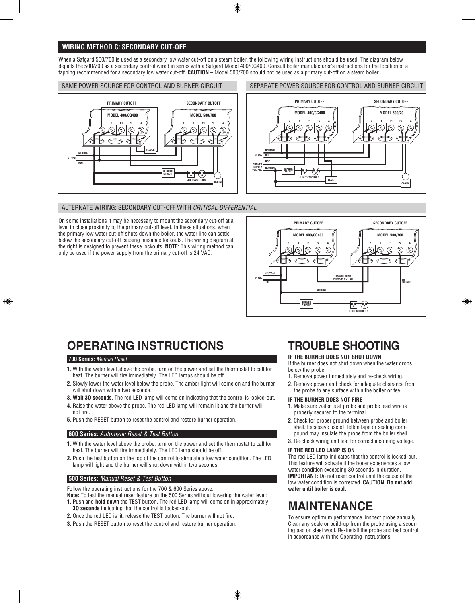### **WIRING METHOD C: SECONDARY CUT-OFF**

When a Safgard 500/700 is used as a secondary low water cut-off on a steam boiler, the following wiring instructions should be used. The diagram below depicts the 500/700 as a secondary control wired in series with a Safgard Model 400/CG400. Consult boiler manufacturer's instructions for the location of a tapping recommended for a secondary low water cut-off. **CAUTION** – Model 500/700 should not be used as a primary cut-off on a steam boiler.

#### SAME POWER SOURCE FOR CONTROL AND BURNER CIRCUIT



### SEPARATE POWER SOURCE FOR CONTROL AND BURNER CIRCUIT



### ALTERNATE WIRING: SECONDARY CUT-OFF WITH *CRITICAL DIFFERENTIAL*

On some installations it may be necessary to mount the secondary cut-off at a level in close proximity to the primary cut-off level. In these situations, when the primary low water cut-off shuts down the boiler, the water line can settle below the secondary cut-off causing nuisance lockouts. The wiring diagram at the right is designed to prevent these lockouts. **NOTE:** This wiring method can only be used if the power supply from the primary cut-off is 24 VAC.



# **OPERATING INSTRUCTIONS**

### **700 Series:** *Manual Reset*

- **1.** With the water level above the probe, turn on the power and set the thermostat to call for heat. The burner will fire immediately. The LED lamps should be off.
- **2.** Slowly lower the water level below the probe. The amber light will come on and the burner will shut down within two seconds.
- **3. Wait 3O seconds.** The red LED lamp will come on indicating that the control is locked-out.
- **4.** Raise the water above the probe. The red LED lamp will remain lit and the burner will not fire.
- **5.** Push the RESET button to reset the control and restore burner operation.

#### **600 Series:** *Automatic Reset & Test Button*

- **1.** With the water level above the probe, turn on the power and set the thermostat to call for heat. The burner will fire immediately. The LED lamp should be off.
- **2.** Push the test button on the top of the control to simulate a low water condition. The LED lamp will light and the burner will shut down within two seconds.

#### **500 Series:** *Manual Reset & Test Button*

Follow the operating instructions for the 700 & 600 Series above.

- **Note:** To test the manual reset feature on the 500 Series without lowering the water level: **1.** Push and **hold down** the TEST button. The red LED lamp will come on in approximately **3O seconds** indicating that the control is locked-out.
- **2.** Once the red LED is lit, release the TEST button. The burner will not fire.
- **3.** Push the RESET button to reset the control and restore burner operation.

# **TROUBLE SHOOTING**

#### **IF THE BURNER DOES NOT SHUT DOWN**

If the burner does not shut down when the water drops below the probe:

- **1.** Remove power immediately and re-check wiring.
- **2.** Remove power and check for adequate clearance from the probe to any surface within the boiler or tee.

#### **IF THE BURNER DOES NOT FIRE**

- **1.** Make sure water is at probe and probe lead wire is properly secured to the terminal.
- **2.** Check for proper ground between probe and boiler shell. Excessive use of Teflon tape or sealing compound may insulate the probe from the boiler shell.
- **3.** Re-check wiring and test for correct incoming voltage.

#### **IF THE RED LED LAMP IS ON**

The red LED lamp indicates that the control is locked-out. This feature will activate if the boiler experiences a low water condition exceeding 30 seconds in duration. **IMPORTANT:** Do not reset control until the cause of the low water condition is corrected. **CAUTION: Do not add water until boiler is cool.**

# **MAINTENANCE**

To ensure optimum performance, inspect probe annually. Clean any scale or build-up from the probe using a scouring pad or steel wool. Re-install the probe and test control in accordance with the Operating Instructions.